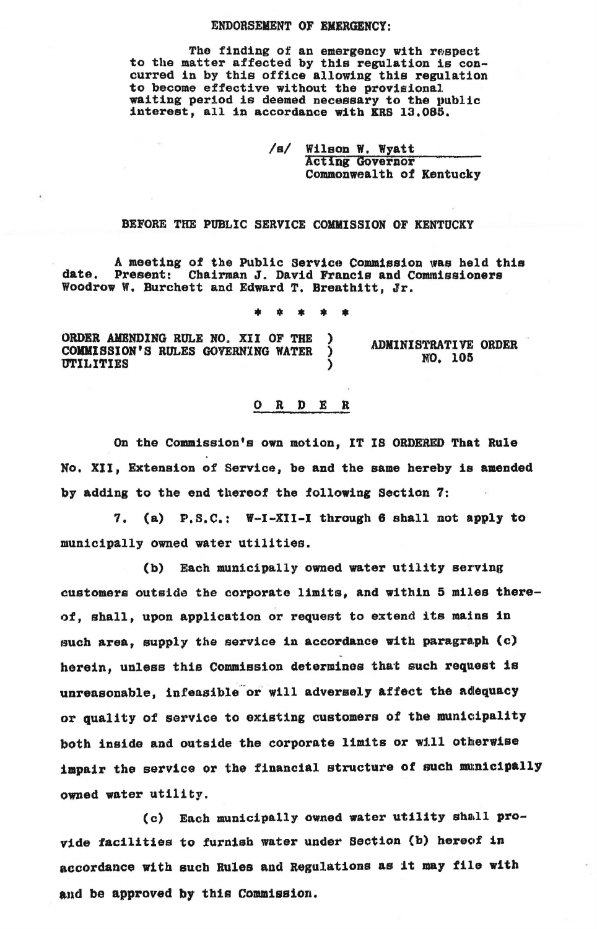## ENDORSEMENT OF EMERGENCY:

The finding of an emergency with respect to the matter affected by this regulation is concurred in by this office allowing this regulation<br>to become effective without the provisional waiting period is deemed necessary to the public interest, all in accordance with KRB 13.085.

> /s/ Wilson w. Wyatt Acting GOvernor Commonwealth of Kentucky

## BEFORE THE PUBLIC SERVICE COMMISSION OF KENTUCKY

A meeting of the Public Service Commission was held this<br>Present: Chairman J. David Francis and Commissioners date. Present: Chairman J. David Francis and Cownissioners Woodrow W. Burchett and Edward T. Breathitt, Jr.

• • \* \* \*

ORDER AMENDING RULE NO. XII OF THE )<br>COMMISSION'S RULES GOVERNING WATER ) COMMISSION'S RULES GOVERNING WATER **UTILITIES** 

ADMINISTRATIVE ORDER NO. 105

## 0 R D E R

On the Commission's own motion, IT IS ORDERED That Rule No. XII, Extension of Service, be and the same hereby is amended by adding to the end thereof the following Section 7:

7. (a) P.s.c.: W-I-XII-I through 6 shall not apply to municipally owned water utilities.

(b) Each municipally owned water utility serving customers outside the corporate limits, and within 5 miles thereof, shall, upon application or request to extend its mains in such area, supply the service in accordance with paragraph (c) herein, unless this Commission determines that such request is unreasonable, infeasible or will adversely affect the adequacy or quality of service to existing customers of the munieipality both inside and outside the corporate limits or will otherwise impair the service or the financial structure of such municipally owned water utility.

(c) Each municipally owned water utility shall provide facilities to furnish water under Section (b) hereof in accordance with such Rules and Regulations as it may file with and be approved by this Commission.